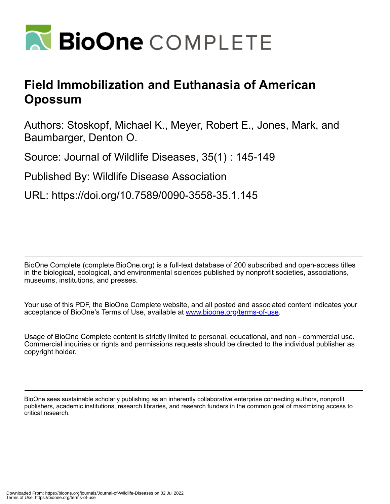

## **Field Immobilization and Euthanasia of American Opossum**

Authors: Stoskopf, Michael K., Meyer, Robert E., Jones, Mark, and Baumbarger, Denton O.

Source: Journal of Wildlife Diseases, 35(1) : 145-149

Published By: Wildlife Disease Association

URL: https://doi.org/10.7589/0090-3558-35.1.145

BioOne Complete (complete.BioOne.org) is a full-text database of 200 subscribed and open-access titles in the biological, ecological, and environmental sciences published by nonprofit societies, associations, museums, institutions, and presses.

Your use of this PDF, the BioOne Complete website, and all posted and associated content indicates your acceptance of BioOne's Terms of Use, available at www.bioone.org/terms-of-use.

Usage of BioOne Complete content is strictly limited to personal, educational, and non - commercial use. Commercial inquiries or rights and permissions requests should be directed to the individual publisher as copyright holder.

BioOne sees sustainable scholarly publishing as an inherently collaborative enterprise connecting authors, nonprofit publishers, academic institutions, research libraries, and research funders in the common goal of maximizing access to critical research.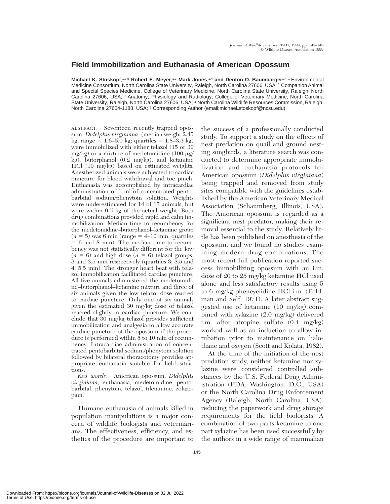## **Field Immobilization and Euthanasia of American Opossum**

**Michael K. Stoskopf**, 1,2,5 **Robert E. Meyer**, 1,3 **Mark Jones**, 1,4 **and Denton O. Baumbarger**1,4 1 Environmental Medicine Consortium, North Carolina State University, Raleigh, North Carolina 27606, USA; <sup>2</sup> Companion Animal and Special Species Medicine, College of Veterinary Medicine, North Carolina State University, Raleigh, North Carolina 27606, USA; <sup>3</sup> Anatomy, Physiology and Radiology, College of Veterinary Medicine, North Carolina State University, Raleigh, North Carolina 27606, USA; <sup>4</sup> North Carolina Wildlife Resources Commission, Raleigh, North Carolina 27604-1188, USA; <sup>5</sup> Corresponding Author (email:michael\_stoskopf@ncsu.edu).

ABSTRACT: Seventeen recently trapped opossum, *Didelphis virginiana*, (median weight 2.45  $kg; range = 1.6–5.0 kg; quartiles = 1.8–3.3 kg)$ were immobilized with either telazol (15 or 30 mg/kg) or a mixture of medetomidine (100  $\mu$ g/ kg), butorphanol (0.2 mg/kg), and ketamine HCl (10 mg/kg) based on estimated weights. Anesthetized animals were subjected to cardiac puncture for blood withdrawal and toe pinch. Euthanasia was accomplished by intracardiac administration of 1 ml of concentrated pentobarbital sodium/phenytoin solution. Weights were underestimated for 14 of 17 animals, but were within 0.5 kg of the actual weight. Both drug combinations provided rapid and calm immobilization. Median time to recumbency for the medetomidine–butorphanol–ketamine group  $(n = 5)$  was 6 min (range  $= 4$ –10 min; quartiles  $= 6$  and 8 min). The median time to recumbency was not statistically different for the low  $(n = 6)$  and high dose  $(n = 6)$  telazol groups, 3 and 3.5 min respectively (quartiles 3; 3.5 and 4; 5.5 min). The stronger heart beat with telazol immobilization facilitated cardiac puncture. All five animals administered the medetomidine–butorphanol–ketamine mixture and three of six animals given the low telazol dose reacted to cardiac puncture. Only one of six animals given the estimated 30 mg/kg dose of telazol reacted slightly to cardiac puncture. We conclude that 30 mg/kg telazol provides sufficient immobilization and analgesia to allow accurate cardiac puncture of the opossum if the procedure is performed within 5 to 10 min of recumbency. Intracardiac administration of concentrated pentobarbital sodium/phenytoin solution followed by bilateral thoracotomy provides appropriate euthanasia suitable for field situations.

*Key words*: American opossum, *Didelphis virginiana*, euthanasia, medetomidine, pentobarbital, phenytoin, telazol, tiletamine, zolazepam.

Humane euthanasia of animals killed in population manipulations is a major concern of wildlife biologists and veterinarians. The effectiveness, efficiency, and esthetics of the procedure are important to the success of a professionally conducted study. To support a study on the effects of nest predation on quail and ground nesting songbirds, a literature search was conducted to determine appropriate immobilization and euthanasia protocols for American opossum (*Didelphis virginiana*) being trapped and removed from study sites compatible with the guidelines established by the American Veterinary Medical Association (Schaumberg, Illinois, USA). The American opossum is regarded as a significant nest predator, making their removal essential to the study. Relatively little has been published on anesthesia of the opossum, and we found no studies examining modern drug combinations. The most recent full publication reported success immobilizing opossum with an i.m. dose of 20 to 25 mg/kg ketamine HCl used alone and less satisfactory results using 5 to 6 mg/kg phencyclidine HCl i.m. (Feldman and Self, 1971). A later abstract suggested use of ketamine (10 mg/kg) combined with xylazine (2.0 mg/kg) delivered i.m. after atropine sulfate (0.4 mg/kg) worked well as an induction to allow intubation prior to maintenance on halothane and oxygen (Scott and Kolata, 1982).

At the time of the initiation of the nest predation study, neither ketamine nor xylazine were considered controlled substances by the U.S. Federal Drug Administration (FDA, Washington, D.C., USA) or the North Carolina Drug Enforcement Agency (Raleigh, North Carolina, USA), reducing the paperwork and drug storage requirements for the field biologists. A combination of two parts ketamine to one part xylazine has been used successfully by the authors in a wide range of mammalian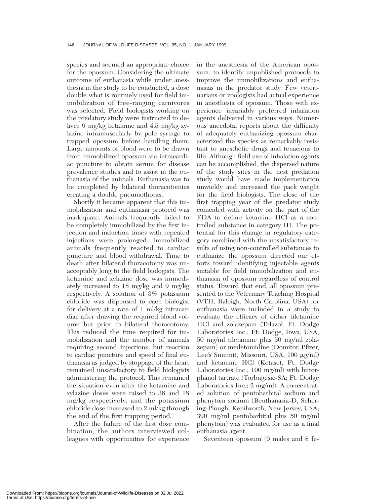species and seemed an appropriate choice for the opossum. Considering the ultimate outcome of euthanasia while under anesthesia in the study to be conducted, a dose double what is routinely used for field immobilization of free-ranging carnivores was selected. Field biologists working on the predatory study were instructed to deliver 9 mg/kg ketamine and 4.5 mg/kg xylazine intramuscularly by pole syringe to trapped opossum before handling them. Large amounts of blood were to be drawn from immobilized opossum via intracardiac puncture to obtain serum for disease prevalence studies and to assist in the euthanasia of the animals. Euthanasia was to be completed by bilateral thoracotomies creating a double pneumothorax.

Shortly it became apparent that this immobilization and euthanasia protocol was inadequate. Animals frequently failed to be completely immobilized by the first injection and induction times with repeated injections were prolonged. Immobilized animals frequently reacted to cardiac puncture and blood withdrawal. Time to death after bilateral thoracotomy was unacceptably long to the field biologists. The ketamine and xylazine dose was immediately increased to 18 mg/kg and 9 mg/kg respectively. A solution of 3% potassium chloride was dispensed to each biologist for delivery at a rate of 1 ml/kg intracardiac after drawing the required blood volume but prior to bilateral thoracotomy. This reduced the time required for immobilization and the number of animals requiring second injections, but reaction to cardiac puncture and speed of final euthanasia as judged by stoppage of the heart remained unsatisfactory to field biologists administering the protocol. This remained the situation even after the ketamine and xylazine doses were raised to 36 and 18 mg/kg respectively, and the potassium chloride dose increased to 2 ml/kg through the end of the first trapping period.

After the failure of the first dose combination, the authors interviewed colleagues with opportunities for experience in the anesthesia of the American opossum, to identify unpublished protocols to improve the immobilizations and euthanasias in the predator study. Few veterinarians or zoologists had actual experience in anesthesia of opossum. Those with experience invariably preferred inhalation agents delivered in various ways. Numerous anecdotal reports about the difficulty of adequately euthanizing opossum characterized the species as remarkably resistant to anesthetic drugs and tenacious to life. Although field use of inhalation agents can be accomplished, the dispersed nature of the study sites in the nest predation study would have made implementation unwieldy and increased the pack weight for the field biologists. The close of the first trapping year of the predator study coincided with activity on the part of the FDA to define ketamine HCl as a controlled substance in category III. The potential for this change in regulatory category combined with the unsatisfactory results of using non-controlled substances to euthanize the opossum directed our efforts toward identifying injectable agents suitable for field immobilization and euthanasia of opossum regardless of control status. Toward that end, all opossum presented to the Veterinary Teaching Hospital (VTH, Raleigh, North Carolina, USA) for euthanasia were included in a study to evaluate the efficacy of either tiletamine HCl and zolazepam (Telazol, Ft. Dodge Laboratories Inc., Ft. Dodge, Iowa, USA; 50 mg/ml tiletamine plus 50 mg/ml zolazepam) or medetomidine (Domitor, Pfizer, Lee's Summit, Missouri, USA; 100 µg/ml) and ketamine HCl (Ketaset, Ft. Dodge Laboratories Inc.; 100 mg/ml) with butorphanol tartrate (Torbugesic-SA; Ft. Dodge Laboratories Inc.; 2 mg/ml). A concentrated solution of pentobarbital sodium and phenytoin sodium (Beuthanasia-D, Schering-Plough, Kenilworth, New Jersey, USA; 390 mg/ml pentobarbital plus 50 mg/ml phenytoin) was evaluated for use as a final euthanasia agent.

Seventeen opossum (9 males and 8 fe-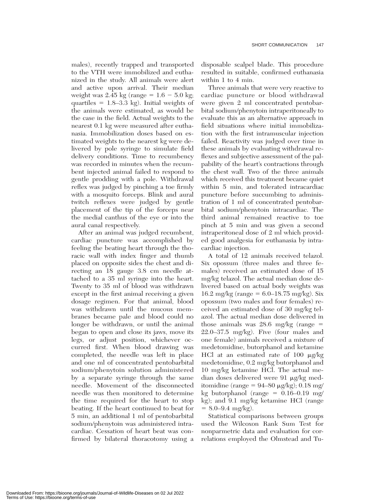males), recently trapped and transported to the VTH were immobilized and euthanized in the study. All animals were alert and active upon arrival. Their median weight was 2.45 kg (range =  $1.6 - 5.0$  kg; quartiles  $= 1.8 - 3.3$  kg). Initial weights of the animals were estimated, as would be the case in the field. Actual weights to the nearest 0.1 kg were measured after euthanasia. Immobilization doses based on estimated weights to the nearest kg were delivered by pole syringe to simulate field delivery conditions. Time to recumbency was recorded in minutes when the recumbent injected animal failed to respond to gentle prodding with a pole. Withdrawal reflex was judged by pinching a toe firmly with a mosquito forceps. Blink and aural twitch reflexes were judged by gentle placement of the tip of the forceps near the medial canthus of the eye or into the aural canal respectively.

After an animal was judged recumbent, cardiac puncture was accomplished by feeling the beating heart through the thoracic wall with index finger and thumb placed on opposite sides the chest and directing an 18 gauge 3.8 cm needle attached to a 35 ml syringe into the heart. Twenty to 35 ml of blood was withdrawn except in the first animal receiving a given dosage regimen. For that animal, blood was withdrawn until the mucous membranes became pale and blood could no longer be withdrawn, or until the animal began to open and close its jaws, move its legs, or adjust position, whichever occurred first. When blood drawing was completed, the needle was left in place and one ml of concentrated pentobarbital sodium/phenytoin solution administered by a separate syringe through the same needle. Movement of the disconnected needle was then monitored to determine the time required for the heart to stop beating. If the heart continued to beat for 5 min, an additional 1 ml of pentobarbital sodium/phenytoin was administered intracardiac. Cessation of heart beat was confirmed by bilateral thoracotomy using a disposable scalpel blade. This procedure resulted in suitable, confirmed euthanasia within 1 to 4 min.

Three animals that were very reactive to cardiac puncture or blood withdrawal were given 2 ml concentrated pentobarbital sodium/phenytoin intraperitoneally to evaluate this as an alternative approach in field situations where initial immobilization with the first intramuscular injection failed. Reactivity was judged over time in these animals by evaluating withdrawal reflexes and subjective assessment of the palpability of the heart's contractions through the chest wall. Two of the three animals which received this treatment became quiet within 5 min, and tolerated intracardiac puncture before succumbing to administration of 1 ml of concentrated pentobarbital sodium/phenytoin intracardiac. The third animal remained reactive to toe pinch at 5 min and was given a second intraperitoneal dose of 2 ml which provided good analgesia for euthanasia by intracardiac injection.

A total of 12 animals received telazol. Six opossum (three males and three females) received an estimated dose of 15 mg/kg telazol. The actual median dose delivered based on actual body weights was 16.2 mg/kg (range =  $6.0$ –18.75 mg/kg). Six opossum (two males and four females) received an estimated dose of 30 mg/kg telazol. The actual median dose delivered in those animals was 28.6 mg/kg (range  $=$ 22.0–37.5 mg/kg). Five (four males and one female) animals received a mixture of medetomidine, butorphanol and ketamine HCl at an estimated rate of 100  $\mu$ g/kg medetomidine, 0.2 mg/kg butorphanol and 10 mg/kg ketamine HCl. The actual median doses delivered were 91 mg/kg meditomidine (range =  $94-80 \mu g/kg$ ); 0.18 mg/ kg butorphanol (range  $= 0.16-0.19$  mg/ kg); and 9.1 mg/kg ketamine HCl (range  $= 8.0 - 9.4$  mg/kg).

Statistical comparisons between groups used the Wilcoxon Rank Sum Test for nonparmetric data and evaluation for correlations employed the Olmstead and Tu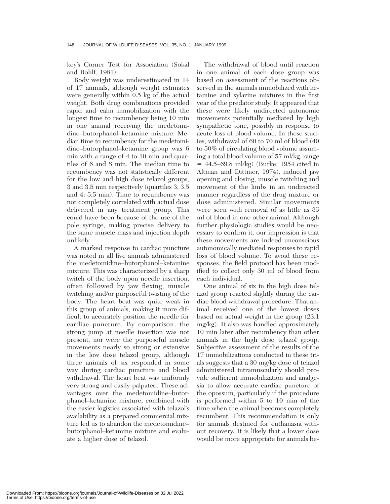key's Corner Test for Association (Sokal and Rohlf, 1981).

Body weight was underestimated in 14 of 17 animals, although weight estimates were generally within 0.5 kg of the actual weight. Both drug combinations provided rapid and calm immobilization with the longest time to recumbency being 10 min in one animal receiving the medetomidine–butorphanol–ketamine mixture. Median time to recumbency for the medetomidine–butorphanol–ketamine group was 6 min with a range of 4 to 10 min and quartiles of 6 and 8 min. The median time to recumbency was not statistically different for the low and high dose telazol groups, 3 and 3.5 min respectively (quartiles 3; 3.5 and 4; 5.5 min). Time to recumbency was not completely correlated with actual dose delivered in any treatment group. This could have been because of the use of the pole syringe, making precise delivery to the same muscle mass and injection depth unlikely.

A marked response to cardiac puncture was noted in all five animals administered the medetomidine–butorphanol–ketamine mixture. This was characterized by a sharp twitch of the body upon needle insertion, often followed by jaw flexing, muscle twitching and/or purposeful twisting of the body. The heart beat was quite weak in this group of animals, making it more difficult to accurately position the needle for cardiac puncture. By comparison, the strong jump at needle insertion was not present, nor were the purposeful muscle movements nearly so strong or extensive in the low dose telazol group, although three animals of six responded in some way during cardiac puncture and blood withdrawal. The heart beat was uniformly very strong and easily palpated. These advantages over the medetomidine–butorphanol–ketamine mixture, combined with the easier logistics associated with telazol's availability as a prepared commercial mixture led us to abandon the medetomidine– butorphanol–ketamine mixture and evaluate a higher dose of telazol.

The withdrawal of blood until reaction in one animal of each dose group was based on assessment of the reactions observed in the animals immobilized with ketamine and xylazine mixtures in the first year of the predator study. It appeared that these were likely undirected autonomic movements potentially mediated by high sympathetic tone, possibly in response to acute loss of blood volume. In these studies, withdrawal of 60 to 70 ml of blood (40 to 50% of circulating blood volume assuming a total blood volume of 57 ml/kg, range  $= 44.5 - 69.8$  ml/kg) (Burke, 1954 cited in Altman and Dittmer, 1974), induced jaw opening and closing, muscle twitching and movement of the limbs in an undirected manner regardless of the drug mixture or dose administered. Similar movements were seen with removal of as little as 35 ml of blood in one other animal. Although further physiologic studies would be necessary to confirm it, our impression is that these movements are indeed unconscious autonomically mediated responses to rapid loss of blood volume. To avoid these responses, the field protocol has been modified to collect only 30 ml of blood from each individual.

One animal of six in the high dose telazol group reacted slightly during the cardiac blood withdrawal procedure. That animal received one of the lowest doses based on actual weight in the group (23.1 mg/kg). It also was handled approximately 10 min later after recumbency than other animals in the high dose telazol group. Subjective assessment of the results of the 17 immobilizations conducted in these trials suggests that a 30 mg/kg dose of telazol administered intramuscularly should provide sufficient immobilization and analgesia to allow accurate cardiac puncture of the opossum, particularly if the procedure is performed within 5 to 10 min of the time when the animal becomes completely recumbent. This recommendation is only for animals destined for euthanasia without recovery. It is likely that a lower dose would be more appropriate for animals be